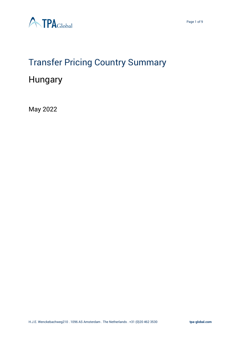



# Transfer Pricing Country Summary

# Hungary

May 2022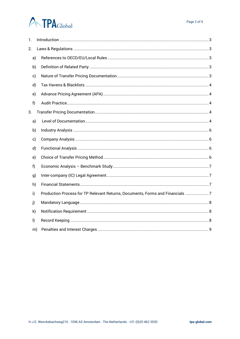# **ATPA**Global

| 1.           |    |                                                                               |
|--------------|----|-------------------------------------------------------------------------------|
| 2.           |    |                                                                               |
|              | a) |                                                                               |
|              | b) |                                                                               |
|              | c) |                                                                               |
|              | d) |                                                                               |
|              | e) |                                                                               |
| f)           |    |                                                                               |
| 3.           |    |                                                                               |
|              | a) |                                                                               |
|              | b) |                                                                               |
|              | c) |                                                                               |
|              | d) |                                                                               |
|              | e) |                                                                               |
| f)           |    |                                                                               |
|              | g) |                                                                               |
|              | h) |                                                                               |
| i)           |    | Production Process for TP Relevant Returns, Documents, Forms and Financials 7 |
| j)           |    |                                                                               |
|              | k) |                                                                               |
| $\mathsf{I}$ |    |                                                                               |
|              | m) |                                                                               |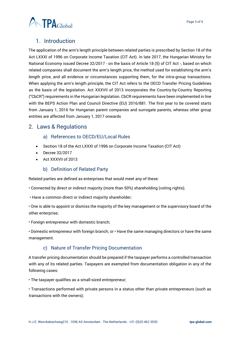

# <span id="page-2-0"></span>1. Introduction

The application of the arm's length principle between related parties is prescribed by Section 18 of the Act LXXXI of 1996 on Corporate Income Taxation (CIT Act). In late 2017, the Hungarian Ministry for National Economy issued Decree 32/2017 - on the basis of Article 18 (5) of CIT Act -, based on which related companies shall document the arm's length price, the method used for establishing the arm's length price, and all evidence or circumstances supporting them, for the intra-group transactions. When applying the arm's length principle, the CIT Act refers to the OECD Transfer Pricing Guidelines as the basis of the legislation. Act XXXVII of 2013 incorporates the Country-by-Country Reporting ("CbCR") requirements in the Hungarian legislation. CbCR requirements have been implemented in line with the BEPS Action Plan and Council Directive (EU) 2016/881. The first year to be covered starts from January 1, 2016 for Hungarian parent companies and surrogate parents, whereas other group entities are affected from January 1, 2017 onwards

# <span id="page-2-2"></span><span id="page-2-1"></span>2. Laws & Regulations

- a) References to OECD/EU/Local Rules
- Section 18 of the Act LXXXI of 1996 on Corporate Income Taxation (CIT Act)
- Decree 32/2017
- Act XXXVII of 2013

# b) Definition of Related Party

<span id="page-2-3"></span>Related parties are defined as enterprises that would meet any of these:

- Connected by direct or indirect majority (more than 50%) shareholding (voting rights);
- Have a common direct or indirect majority shareholder;

• One is able to appoint or dismiss the majority of the key management or the supervisory board of the other enterprise;

• Foreign entrepreneur with domestic branch;

• Domestic entrepreneur with foreign branch; or • Have the same managing directors or have the same management.

# c) Nature of Transfer Pricing Documentation

<span id="page-2-4"></span>A transfer pricing documentation should be prepared if the taxpayer performs a controlled transaction with any of its related parties. Taxpayers are exempted from documentation obligation in any of the following cases:

• The taxpayer qualifies as a small-sized entrepreneur;

• Transactions performed with private persons in a status other than private entrepreneurs (such as transactions with the owners);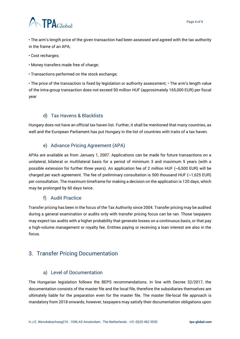

• The arm's length price of the given transaction had been assessed and agreed with the tax authority in the frame of an APA;

- Cost recharges;
- Money transfers made free of charge;
- Transactions performed on the stock exchange;

• The price of the transaction is fixed by legislation or authority assessment; • The arm's length value of the intra-group transaction does not exceed 50 million HUF (approximately 165,000 EUR) per fiscal year

#### d) Tax Havens & Blacklists

<span id="page-3-0"></span>Hungary does not have an official tax haven list. Further, it shall be mentioned that many countries, as well and the European Parliament has put Hungary in the list of countries with traits of a tax haven.

#### e) Advance Pricing Agreement (APA)

<span id="page-3-1"></span>APAs are available as from January 1, 2007. Applications can be made for future transactions on a unilateral, bilateral or multilateral basis for a period of minimum 3 and maximum 5 years (with a possible extension for further three years). An application fee of 2 million HUF (~6,500 EUR) will be charged per each agreement. The fee of preliminary consultation is 500 thousand HUF  $(\sim 1.625 \text{ EUR})$ per consultation. The maximum timeframe for making a decision on the application is 120 days, which may be prolonged by 60 days twice.

#### f) Audit Practice

<span id="page-3-2"></span>Transfer pricing has been in the focus of the Tax Authority since 2004. Transfer pricing may be audited during a general examination or audits only with transfer pricing focus can be ran. Those taxpayers may expect tax audits with a higher probability that generate losses on a continuous basis, or that pay a high-volume management or royalty fee. Entities paying or receiving a loan interest are also in the focus.

# <span id="page-3-3"></span>3. Transfer Pricing Documentation

#### a) Level of Documentation

<span id="page-3-4"></span>The Hungarian legislation follows the BEPS recommendations. In line with Decree 32/2017, the documentation consists of the master file and the local file, therefore the subsidiaries themselves are ultimately liable for the preparation even for the master file. The master file-local file approach is mandatory from 2018 onwards, however, taxpayers may satisfy their documentation obligations upon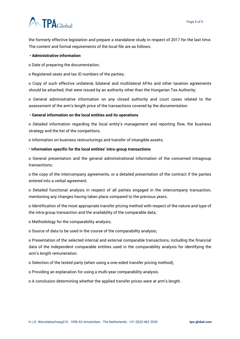# **ATPA**Global

the formerly effective legislation and prepare a standalone study in respect of 2017 for the last time. The content and formal requirements of the local file are as follows:

#### • **Administrative information**

o Date of preparing the documentation;

o Registered seats and tax ID numbers of the parties;

o Copy of such effective unilateral, bilateral and multilateral APAs and other taxation agreements should be attached, that were issued by an authority other than the Hungarian Tax Authority;

o General administrative information on any closed authority and court cases related to the assessment of the arm's length price of the transactions covered by the documentation.

#### • **General information on the local entities and its operations**

o Detailed information regarding the local entity's management and reporting flow, the business strategy and the list of the competitors;

o Information on business restructurings and transfer of intangible assets;

#### • I**nformation specific for the local entities' intra-group transactions**

o General presentation and the general administrational information of the concerned intragroup transactions;

o the copy of the intercompany agreements, or a detailed presentation of the contract if the parties entered into a verbal agreement;

o Detailed functional analysis in respect of all parties engaged in the intercompany transaction, mentioning any changes having taken place compared to the previous years;

o Identification of the most appropriate transfer pricing method with respect of the nature and type of the intra-group transaction and the availability of the comparable data;

o Methodology for the comparability analysis;

o Source of data to be used in the course of the comparability analysis;

o Presentation of the selected internal and external comparable transactions, including the financial data of the independent comparable entities used in the comparability analysis for identifying the arm's length remuneration.

o Selection of the tested party (when using a one-sided transfer pricing method),

o Providing an explanation for using a multi-year comparability analysis.

o A conclusion determining whether the applied transfer prices were at arm's length.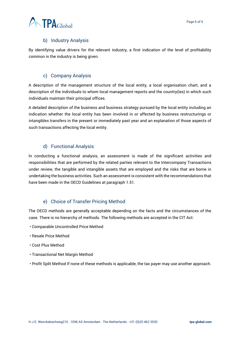# b) Industry Analysis

<span id="page-5-0"></span>By identifying value drivers for the relevant industry, a first indication of the level of profitability common in the industry is being given.

# c) Company Analysis

<span id="page-5-1"></span>A description of the management structure of the local entity, a local organisation chart, and a description of the individuals to whom local management reports and the country(ies) in which such individuals maintain their principal offices.

A detailed description of the business and business strategy pursued by the local entity including an indication whether the local entity has been involved in or affected by business restructurings or intangibles transfers in the present or immediately past year and an explanation of those aspects of such transactions affecting the local entity.

# d) Functional Analysis

<span id="page-5-2"></span>In conducting a functional analysis, an assessment is made of the significant activities and responsibilities that are performed by the related parties relevant to the Intercompany Transactions under review, the tangible and intangible assets that are employed and the risks that are borne in undertaking the business activities. Such an assessment is consistent with the recommendations that have been made in the OECD Guidelines at paragraph 1.51.

# e) Choice of Transfer Pricing Method

<span id="page-5-3"></span>The OECD methods are generally acceptable depending on the facts and the circumstances of the case. There is no hierarchy of methods. The following methods are accepted in the CIT Act:

- Comparable Uncontrolled Price Method
- Resale Price Method
- Cost Plus Method
- Transactional Net Margin Method
- Profit Split Method If none of these methods is applicable, the tax payer may use another approach.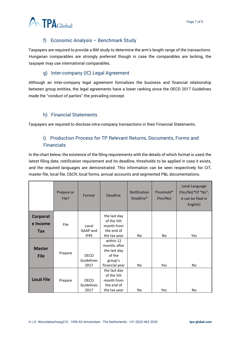

# f) Economic Analysis – Benchmark Study

<span id="page-6-0"></span>Taxpayers are required to provide a BM study to determine the arm's length range of the transactions. Hungarian comparables are strongly preferred though in case the comparables are lacking, the taxpayer may use international comparables.

# g) Inter-company (IC) Legal Agreement

<span id="page-6-1"></span>Although an Inter-company legal agreement formalizes the business and financial relationship between group entities, the legal agreements have a lower ranking since the OECD 2017 Guidelines made the ''conduct of parties'' the prevailing concept.

# h) Financial Statements

<span id="page-6-3"></span><span id="page-6-2"></span>Taxpayers are required to disclose intra-company transactions in their Financial Statements.

# i) Production Process for TP Relevant Returns, Documents, Forms and Financials

In the chart below, the existence of the filing requirements with the details of which format is used, the latest filing date, notification requirement and its deadline, thresholds to be applied in case it exists, and the required languages are demonstrated. This information can be seen respectively for CIT, master file, local file, CbCR, local forms, annual accounts and segmented P&L documentations.

|                   | Prepare or<br>File? | Format                    | <b>Deadline</b>          | <b>Notification</b><br>Deadline* | Threshold*<br>(Yes/No) | Local Language<br>(Yes/No)*(If "No",<br>it can be filed in<br>English) |
|-------------------|---------------------|---------------------------|--------------------------|----------------------------------|------------------------|------------------------------------------------------------------------|
| Corporat          |                     |                           | the last day             |                                  |                        |                                                                        |
| e Income          | <b>File</b>         |                           | of the 5th               |                                  |                        |                                                                        |
|                   |                     | Local<br>GAAP and         | month from<br>the end of |                                  |                        |                                                                        |
| Tax               |                     | <b>IFRS</b>               | the tax year             | No.                              | No.                    | Yes                                                                    |
|                   |                     |                           | within 12                |                                  |                        |                                                                        |
|                   | Prepare             |                           | months after             |                                  |                        |                                                                        |
| <b>Master</b>     |                     |                           | the last day             |                                  |                        |                                                                        |
| <b>File</b>       |                     | <b>OECD</b>               | of the                   |                                  |                        |                                                                        |
|                   |                     | <b>Guidelines</b>         | group's                  |                                  |                        |                                                                        |
|                   |                     | 2017                      | financial year           | No.                              | Yes                    | <b>No</b>                                                              |
|                   |                     |                           | the last day             |                                  |                        |                                                                        |
| <b>Local File</b> | Prepare             |                           | of the 5th               |                                  |                        |                                                                        |
|                   |                     | <b>OECD</b><br>Guidelines | month from<br>the end of |                                  |                        |                                                                        |
|                   |                     | 2017                      | the tax year             | No.                              | Yes                    | <b>No</b>                                                              |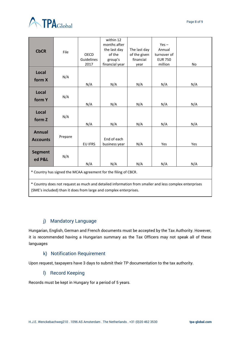

| <b>CbCR</b>                                                                                                                                                                | File    | <b>OECD</b><br>Guidelines<br>2017 | within 12<br>months after<br>the last day<br>of the<br>group's<br>financial year | The last day<br>of the given<br>financial<br>year | $Yes -$<br>Annual<br>turnover of<br><b>EUR 750</b><br>million | No  |  |  |  |
|----------------------------------------------------------------------------------------------------------------------------------------------------------------------------|---------|-----------------------------------|----------------------------------------------------------------------------------|---------------------------------------------------|---------------------------------------------------------------|-----|--|--|--|
| Local<br>form X                                                                                                                                                            | N/A     | N/A                               | N/A                                                                              | N/A                                               | N/A                                                           | N/A |  |  |  |
| Local<br>form Y                                                                                                                                                            | N/A     | N/A                               | N/A                                                                              | N/A                                               | N/A                                                           | N/A |  |  |  |
| <b>Local</b><br>form Z                                                                                                                                                     | N/A     | N/A                               | N/A                                                                              | N/A                                               | N/A                                                           | N/A |  |  |  |
| <b>Annual</b><br><b>Accounts</b>                                                                                                                                           | Prepare | <b>EU IFRS</b>                    | End of each<br>business year                                                     | N/A                                               | Yes                                                           | Yes |  |  |  |
| <b>Segment</b><br>ed P&L                                                                                                                                                   | N/A     | N/A                               | N/A                                                                              | N/A                                               | N/A                                                           | N/A |  |  |  |
| * Country has signed the MCAA agreement for the filing of CBCR.                                                                                                            |         |                                   |                                                                                  |                                                   |                                                               |     |  |  |  |
| * Country does not request as much and detailed information from smaller and less complex enterprises<br>(SME's included) than it does from large and complex enterprises. |         |                                   |                                                                                  |                                                   |                                                               |     |  |  |  |

# j) Mandatory Language

<span id="page-7-0"></span>Hungarian, English, German and French documents must be accepted by the Tax Authority. However, it is recommended having a Hungarian summary as the Tax Officers may not speak all of these languages

#### k) Notification Requirement

<span id="page-7-2"></span><span id="page-7-1"></span>Upon request, taxpayers have 3 days to submit their TP documentation to the tax authority.

# l) Record Keeping

Records must be kept in Hungary for a period of 5 years.